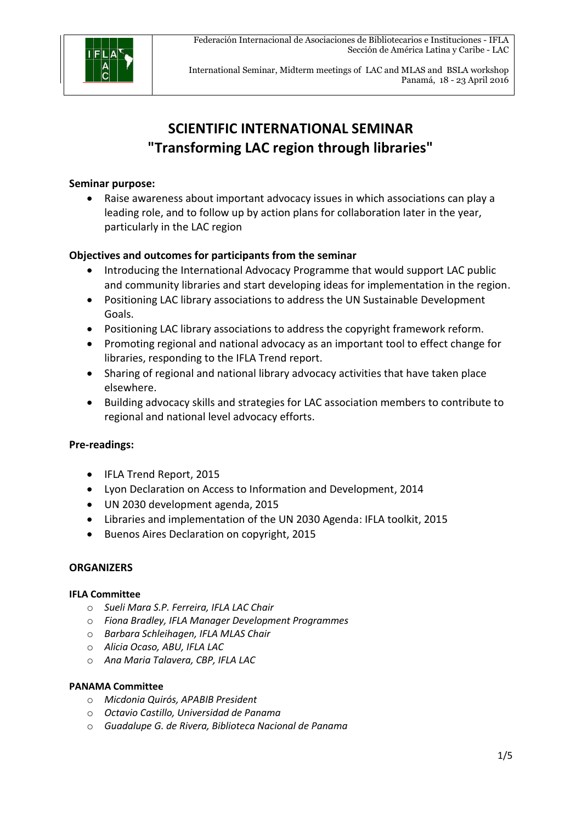

International Seminar, Midterm meetings of LAC and MLAS and BSLA workshop Panamá, 18 - 23 April 2016

# **SCIENTIFIC INTERNATIONAL SEMINAR "Transforming LAC region through libraries"**

#### **Seminar purpose:**

 Raise awareness about important advocacy issues in which associations can play a leading role, and to follow up by action plans for collaboration later in the year, particularly in the LAC region

#### **Objectives and outcomes for participants from the seminar**

- Introducing the International Advocacy Programme that would support LAC public and community libraries and start developing ideas for implementation in the region.
- Positioning LAC library associations to address the UN Sustainable Development Goals.
- Positioning LAC library associations to address the copyright framework reform.
- Promoting regional and national advocacy as an important tool to effect change for libraries, responding to the IFLA Trend report.
- Sharing of regional and national library advocacy activities that have taken place elsewhere.
- Building advocacy skills and strategies for LAC association members to contribute to regional and national level advocacy efforts.

#### **Pre-readings:**

- IFLA Trend Report, 2015
- Lyon Declaration on Access to Information and Development, 2014
- UN 2030 development agenda, 2015
- Libraries and implementation of the UN 2030 Agenda: IFLA toolkit, 2015
- **•** Buenos Aires Declaration on copyright, 2015

#### **ORGANIZERS**

#### **IFLA Committee**

- o *Sueli Mara S.P. Ferreira, IFLA LAC Chair*
- o *Fiona Bradley, IFLA Manager Development Programmes*
- o *Barbara Schleihagen, IFLA MLAS Chair*
- o *Alicia Ocaso, ABU, IFLA LAC*
- o *Ana Maria Talavera, CBP, IFLA LAC*

#### **PANAMA Committee**

- o *Micdonia Quirós, APABIB President*
- o *Octavio Castillo, Universidad de Panama*
- o *Guadalupe G. de Rivera, Biblioteca Nacional de Panama*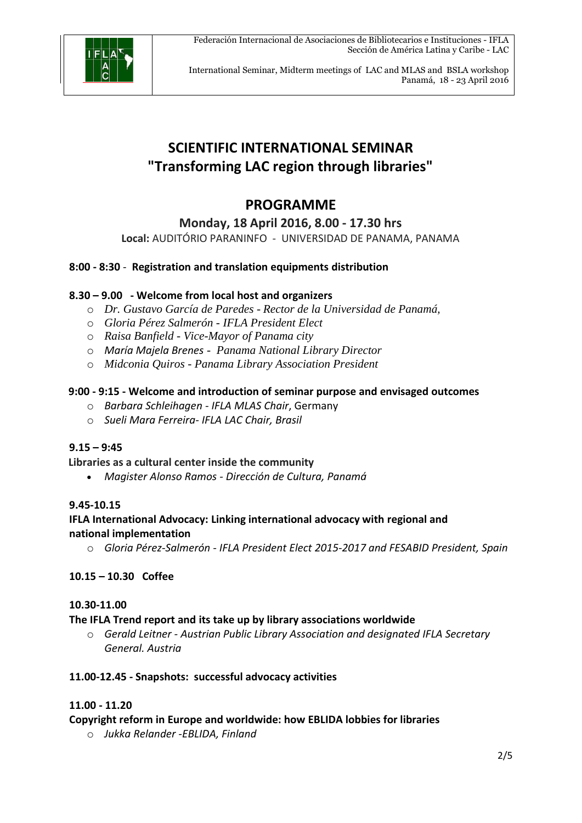

International Seminar, Midterm meetings of LAC and MLAS and BSLA workshop Panamá, 18 - 23 April 2016

# **SCIENTIFIC INTERNATIONAL SEMINAR "Transforming LAC region through libraries"**

### **PROGRAMME**

**Monday, 18 April 2016, 8.00 - 17.30 hrs**

**Local:** AUDITÓRIO PARANINFO - UNIVERSIDAD DE PANAMA, PANAMA

#### **8:00 - 8:30** - **Registration and translation equipments distribution**

#### **8.30 – 9.00 - Welcome from local host and organizers**

- o *Dr. Gustavo García de Paredes - Rector de la Universidad de Panamá,*
- o *Gloria Pérez Salmerón IFLA President Elect*
- o *Raisa Banfield Vice-Mayor of Panama city*
- o *María Majela Brenes Panama National Library Director*
- o *Midconia Quiros Panama Library Association President*

#### **9:00 - 9:15 - Welcome and introduction of seminar purpose and envisaged outcomes**

- o *Barbara Schleihagen IFLA MLAS Chair*, Germany
- o *Sueli Mara Ferreira- IFLA LAC Chair, Brasil*

#### **9.15 – 9:45**

**Libraries as a cultural center inside the community** 

*Magister Alonso Ramos - Dirección de Cultura, Panamá* 

#### **9.45-10.15**

#### **IFLA International Advocacy: Linking international advocacy with regional and national implementation**

o *Gloria Pérez-Salmerón - IFLA President Elect 2015-2017 and FESABID President, Spain* 

#### **10.15 – 10.30 Coffee**

#### **10.30-11.00**

#### **The IFLA Trend report and its take up by library associations worldwide**

o *Gerald Leitner - Austrian Public Library Association and designated IFLA Secretary General. Austria* 

#### **11.00-12.45 - Snapshots: successful advocacy activities**

#### **11.00 - 11.20**

**Copyright reform in Europe and worldwide: how EBLIDA lobbies for libraries** 

o *Jukka Relander -EBLIDA, Finland*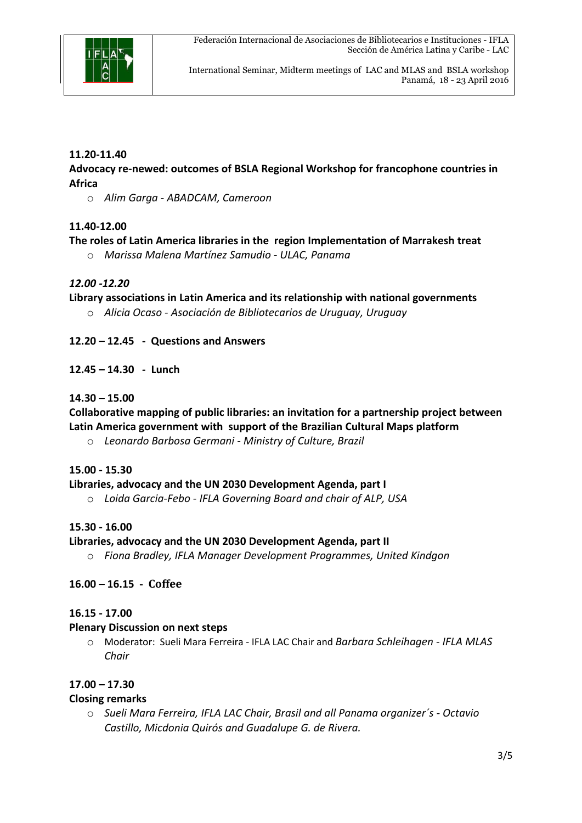

International Seminar, Midterm meetings of LAC and MLAS and BSLA workshop Panamá, 18 - 23 April 2016

#### **11.20-11.40**

#### **Advocacy re-newed: outcomes of BSLA Regional Workshop for francophone countries in Africa**

o *Alim Garga - ABADCAM, Cameroon* 

#### **11.40-12.00**

#### **The roles of Latin America libraries in the region Implementation of Marrakesh treat**

o *Marissa Malena Martínez Samudio - ULAC, Panama* 

#### *12.00 -12.20*

**Library associations in Latin America and its relationship with national governments** 

o *Alicia Ocaso - Asociación de Bibliotecarios de Uruguay, Uruguay* 

#### **12.20 – 12.45 - Questions and Answers**

#### **12.45 – 14.30 - Lunch**

#### **14.30 – 15.00**

#### **Collaborative mapping of public libraries: an invitation for a partnership project between Latin America government with support of the Brazilian Cultural Maps platform**

o *Leonardo Barbosa Germani - Ministry of Culture, Brazil* 

#### **15.00 - 15.30**

#### **Libraries, advocacy and the UN 2030 Development Agenda, part I**

o *Loida Garcia-Febo - IFLA Governing Board and chair of ALP, USA* 

#### **15.30 - 16.00**

#### **Libraries, advocacy and the UN 2030 Development Agenda, part II**

o *Fiona Bradley, IFLA Manager Development Programmes, United Kindgon* 

#### **16.00 – 16.15 - Coffee**

#### **16.15 - 17.00**

#### **Plenary Discussion on next steps**

o Moderator: Sueli Mara Ferreira - IFLA LAC Chair and *Barbara Schleihagen - IFLA MLAS Chair* 

#### **17.00 – 17.30**

#### **Closing remarks**

o *Sueli Mara Ferreira, IFLA LAC Chair, Brasil and all Panama organizer´s - Octavio Castillo, Micdonia Quirós and Guadalupe G. de Rivera.*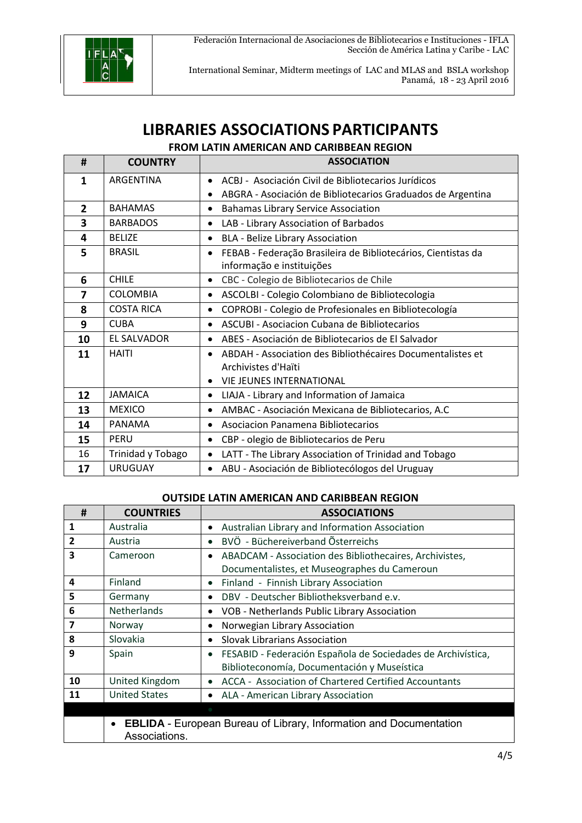

International Seminar, Midterm meetings of LAC and MLAS and BSLA workshop Panamá, 18 - 23 April 2016

# **LIBRARIES ASSOCIATIONS PARTICIPANTS**

**FROM LATIN AMERICAN AND CARIBBEAN REGION** 

| #              | <b>COUNTRY</b>     | <b>ASSOCIATION</b>                                                       |
|----------------|--------------------|--------------------------------------------------------------------------|
| 1              | ARGENTINA          | ACBJ - Asociación Civil de Bibliotecarios Jurídicos                      |
|                |                    | ABGRA - Asociación de Bibliotecarios Graduados de Argentina<br>$\bullet$ |
| $\overline{2}$ | <b>BAHAMAS</b>     | <b>Bahamas Library Service Association</b><br>$\bullet$                  |
| 3              | <b>BARBADOS</b>    | LAB - Library Association of Barbados                                    |
| 4              | <b>BELIZE</b>      | <b>BLA - Belize Library Association</b><br>$\bullet$                     |
| 5              | <b>BRASIL</b>      | FEBAB - Federação Brasileira de Bibliotecários, Cientistas da            |
|                |                    | informação e instituições                                                |
| 6              | <b>CHILE</b>       | CBC - Colegio de Bibliotecarios de Chile<br>$\bullet$                    |
| 7              | <b>COLOMBIA</b>    | ASCOLBI - Colegio Colombiano de Bibliotecologia<br>$\bullet$             |
| 8              | <b>COSTA RICA</b>  | COPROBI - Colegio de Profesionales en Bibliotecología<br>$\bullet$       |
| 9              | <b>CUBA</b>        | ASCUBI - Asociacion Cubana de Bibliotecarios                             |
| 10             | <b>EL SALVADOR</b> | ABES - Asociación de Bibliotecarios de El Salvador<br>$\bullet$          |
| 11             | <b>HAITI</b>       | ABDAH - Association des Bibliothécaires Documentalistes et               |
|                |                    | Archivistes d'Haïti                                                      |
|                |                    | <b>VIE JEUNES INTERNATIONAL</b>                                          |
| 12             | <b>JAMAICA</b>     | LIAJA - Library and Information of Jamaica<br>$\bullet$                  |
| 13             | <b>MEXICO</b>      | AMBAC - Asociación Mexicana de Bibliotecarios, A.C<br>$\bullet$          |
| 14             | PANAMA             | Asociacion Panamena Bibliotecarios<br>$\bullet$                          |
| 15             | PERU               | CBP - olegio de Bibliotecarios de Peru<br>$\bullet$                      |
| 16             | Trinidad y Tobago  | LATT - The Library Association of Trinidad and Tobago<br>$\bullet$       |
| 17             | <b>URUGUAY</b>     | ABU - Asociación de Bibliotecólogos del Uruguay<br>$\bullet$             |

#### **OUTSIDE LATIN AMERICAN AND CARIBBEAN REGION**

| #              | <b>COUNTRIES</b>     | <b>ASSOCIATIONS</b>                                                       |
|----------------|----------------------|---------------------------------------------------------------------------|
| 1              | Australia            | Australian Library and Information Association<br>$\bullet$               |
| $\overline{2}$ | Austria              | BVÖ - Büchereiverband Österreichs<br>$\bullet$                            |
| 3              | Cameroon             | ABADCAM - Association des Bibliothecaires, Archivistes,<br>$\bullet$      |
|                |                      | Documentalistes, et Museographes du Cameroun                              |
| 4              | Finland              | Finland - Finnish Library Association<br>$\bullet$                        |
| 5              | Germany              | DBV - Deutscher Bibliotheksverband e.v.<br>$\bullet$                      |
| 6              | Netherlands          | VOB - Netherlands Public Library Association<br>٠                         |
| 7              | Norway               | Norwegian Library Association                                             |
| 8              | Slovakia             | <b>Slovak Librarians Association</b><br>$\bullet$                         |
| 9              | Spain                | FESABID - Federación Española de Sociedades de Archivística,<br>$\bullet$ |
|                |                      | Biblioteconomía, Documentación y Museística                               |
| 10             | United Kingdom       | ACCA - Association of Chartered Certified Accountants<br>$\bullet$        |
| 11             | <b>United States</b> | ALA - American Library Association<br>$\bullet$                           |
|                |                      |                                                                           |
|                | Associations.        | <b>EBLIDA</b> - European Bureau of Library, Information and Documentation |